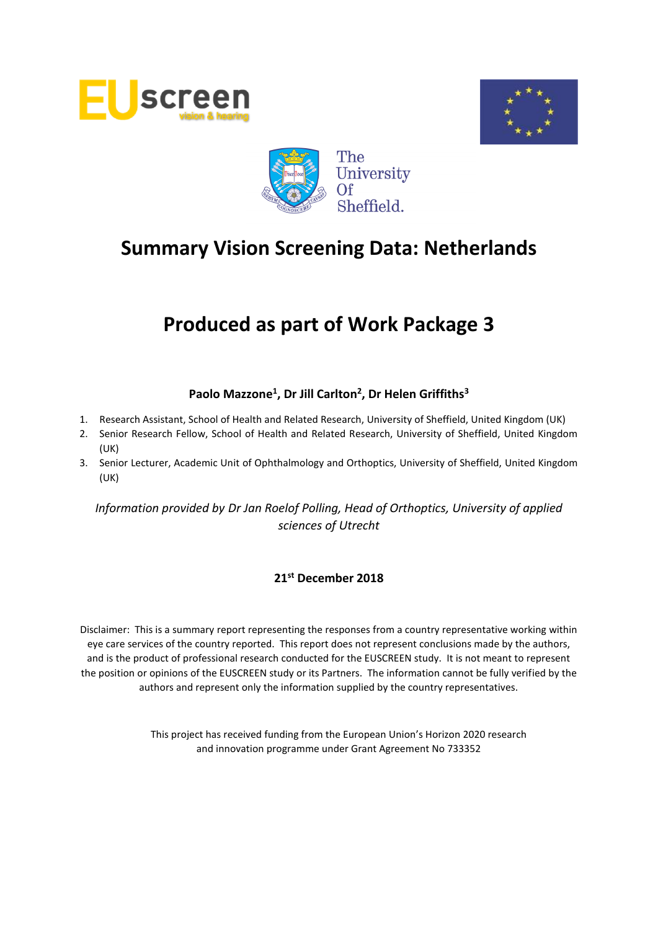





# **Produced as part of Work Package 3**

# **Paolo Mazzone<sup>1</sup> , Dr Jill Carlton<sup>2</sup> , Dr Helen Griffiths<sup>3</sup>**

- 1. Research Assistant, School of Health and Related Research, University of Sheffield, United Kingdom (UK)
- 2. Senior Research Fellow, School of Health and Related Research, University of Sheffield, United Kingdom (UK)
- 3. Senior Lecturer, Academic Unit of Ophthalmology and Orthoptics, University of Sheffield, United Kingdom (UK)

*Information provided by Dr Jan Roelof Polling, Head of Orthoptics, University of applied sciences of Utrecht*

#### **21st December 2018**

Disclaimer: This is a summary report representing the responses from a country representative working within eye care services of the country reported. This report does not represent conclusions made by the authors, and is the product of professional research conducted for the EUSCREEN study. It is not meant to represent the position or opinions of the EUSCREEN study or its Partners. The information cannot be fully verified by the authors and represent only the information supplied by the country representatives.

> This project has received funding from the European Union's Horizon 2020 research and innovation programme under Grant Agreement No 733352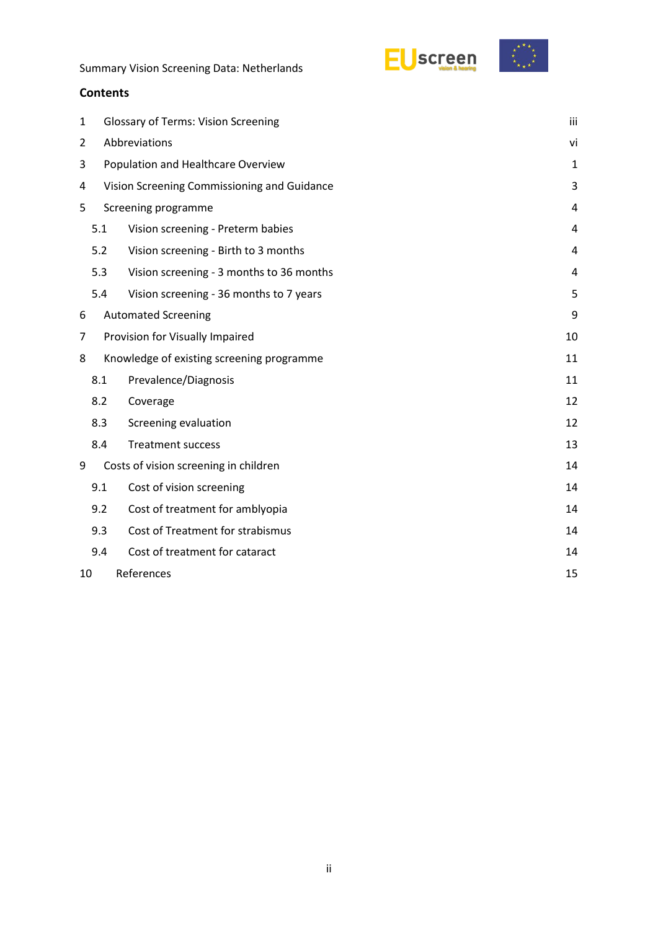



| 1 |                                    | <b>Glossary of Terms: Vision Screening</b>  |    |  |  |  |  |
|---|------------------------------------|---------------------------------------------|----|--|--|--|--|
| 2 | Abbreviations                      |                                             |    |  |  |  |  |
| 3 | Population and Healthcare Overview |                                             |    |  |  |  |  |
| 4 |                                    | Vision Screening Commissioning and Guidance | 3  |  |  |  |  |
| 5 |                                    | Screening programme                         | 4  |  |  |  |  |
|   | 5.1                                | Vision screening - Preterm babies           | 4  |  |  |  |  |
|   | 5.2                                | Vision screening - Birth to 3 months        | 4  |  |  |  |  |
|   | 5.3                                | Vision screening - 3 months to 36 months    | 4  |  |  |  |  |
|   | 5.4                                | Vision screening - 36 months to 7 years     | 5  |  |  |  |  |
| 6 |                                    | <b>Automated Screening</b>                  | 9  |  |  |  |  |
| 7 |                                    | Provision for Visually Impaired             | 10 |  |  |  |  |
| 8 |                                    | Knowledge of existing screening programme   | 11 |  |  |  |  |
|   | 8.1                                | Prevalence/Diagnosis                        | 11 |  |  |  |  |
|   | 8.2                                | Coverage                                    | 12 |  |  |  |  |
|   | 8.3                                | Screening evaluation                        | 12 |  |  |  |  |
|   | 8.4                                | <b>Treatment success</b>                    | 13 |  |  |  |  |
| 9 |                                    | Costs of vision screening in children       | 14 |  |  |  |  |
|   | 9.1                                | Cost of vision screening                    | 14 |  |  |  |  |
|   | 9.2                                | Cost of treatment for amblyopia             | 14 |  |  |  |  |
|   | 9.3                                | Cost of Treatment for strabismus            | 14 |  |  |  |  |
|   | 9.4                                | Cost of treatment for cataract              | 14 |  |  |  |  |
|   | References<br>15<br>10             |                                             |    |  |  |  |  |
|   |                                    |                                             |    |  |  |  |  |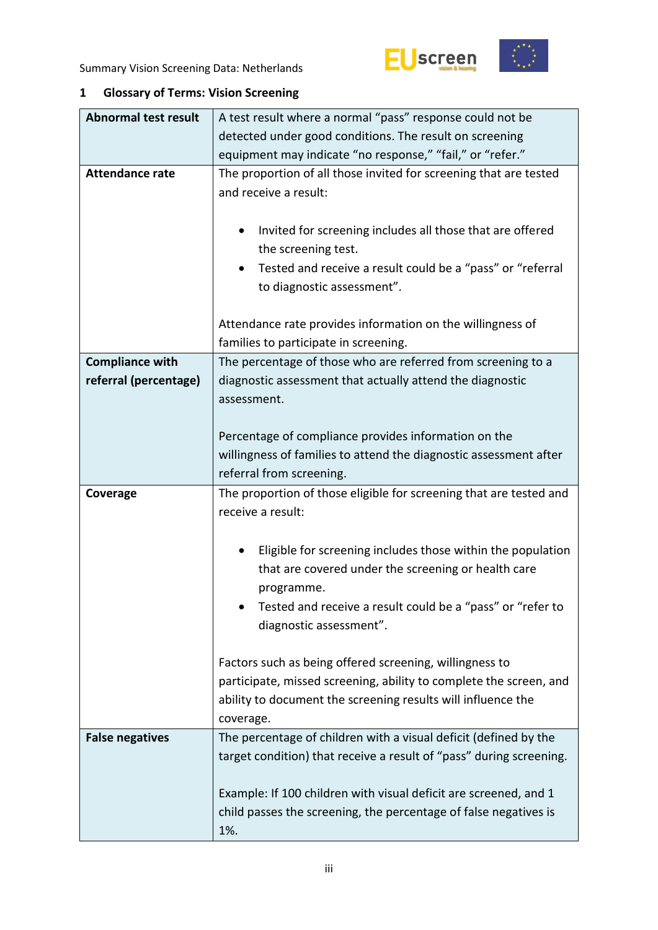

<span id="page-2-0"></span>

| <b>Abnormal test result</b> | A test result where a normal "pass" response could not be                                                                                                                                                                 |  |  |  |  |  |
|-----------------------------|---------------------------------------------------------------------------------------------------------------------------------------------------------------------------------------------------------------------------|--|--|--|--|--|
|                             | detected under good conditions. The result on screening                                                                                                                                                                   |  |  |  |  |  |
|                             | equipment may indicate "no response," "fail," or "refer."                                                                                                                                                                 |  |  |  |  |  |
| <b>Attendance rate</b>      | The proportion of all those invited for screening that are tested<br>and receive a result:                                                                                                                                |  |  |  |  |  |
|                             | Invited for screening includes all those that are offered<br>the screening test.                                                                                                                                          |  |  |  |  |  |
|                             | Tested and receive a result could be a "pass" or "referral<br>$\bullet$<br>to diagnostic assessment".                                                                                                                     |  |  |  |  |  |
|                             | Attendance rate provides information on the willingness of<br>families to participate in screening.                                                                                                                       |  |  |  |  |  |
| <b>Compliance with</b>      | The percentage of those who are referred from screening to a                                                                                                                                                              |  |  |  |  |  |
| referral (percentage)       | diagnostic assessment that actually attend the diagnostic<br>assessment.                                                                                                                                                  |  |  |  |  |  |
|                             |                                                                                                                                                                                                                           |  |  |  |  |  |
|                             | Percentage of compliance provides information on the                                                                                                                                                                      |  |  |  |  |  |
|                             | willingness of families to attend the diagnostic assessment after                                                                                                                                                         |  |  |  |  |  |
|                             | referral from screening.                                                                                                                                                                                                  |  |  |  |  |  |
| Coverage                    | The proportion of those eligible for screening that are tested and<br>receive a result:                                                                                                                                   |  |  |  |  |  |
|                             | Eligible for screening includes those within the population<br>that are covered under the screening or health care<br>programme.<br>Tested and receive a result could be a "pass" or "refer to<br>diagnostic assessment". |  |  |  |  |  |
|                             |                                                                                                                                                                                                                           |  |  |  |  |  |
|                             | Factors such as being offered screening, willingness to<br>participate, missed screening, ability to complete the screen, and<br>ability to document the screening results will influence the<br>coverage.                |  |  |  |  |  |
| <b>False negatives</b>      | The percentage of children with a visual deficit (defined by the                                                                                                                                                          |  |  |  |  |  |
|                             | target condition) that receive a result of "pass" during screening.                                                                                                                                                       |  |  |  |  |  |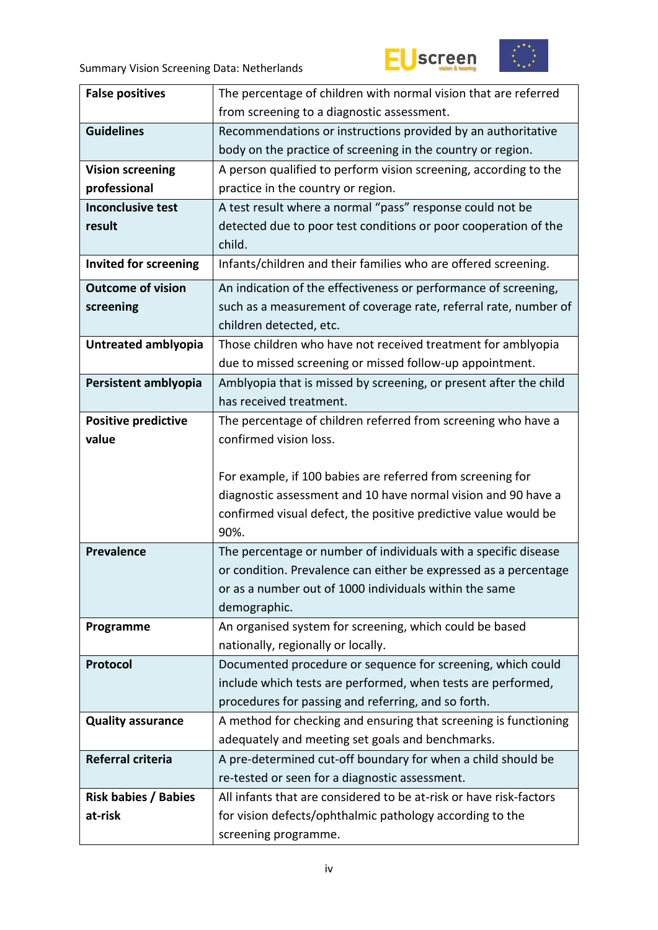



| <b>False positives</b>                 | The percentage of children with normal vision that are referred                                                                |  |  |  |  |
|----------------------------------------|--------------------------------------------------------------------------------------------------------------------------------|--|--|--|--|
|                                        | from screening to a diagnostic assessment.                                                                                     |  |  |  |  |
| <b>Guidelines</b>                      | Recommendations or instructions provided by an authoritative                                                                   |  |  |  |  |
|                                        | body on the practice of screening in the country or region.                                                                    |  |  |  |  |
| <b>Vision screening</b>                | A person qualified to perform vision screening, according to the                                                               |  |  |  |  |
| professional                           | practice in the country or region.                                                                                             |  |  |  |  |
| <b>Inconclusive test</b>               | A test result where a normal "pass" response could not be                                                                      |  |  |  |  |
| result                                 | detected due to poor test conditions or poor cooperation of the                                                                |  |  |  |  |
|                                        | child.                                                                                                                         |  |  |  |  |
| Invited for screening                  | Infants/children and their families who are offered screening.                                                                 |  |  |  |  |
| <b>Outcome of vision</b>               | An indication of the effectiveness or performance of screening,                                                                |  |  |  |  |
| screening                              | such as a measurement of coverage rate, referral rate, number of                                                               |  |  |  |  |
|                                        | children detected, etc.                                                                                                        |  |  |  |  |
| Untreated amblyopia                    | Those children who have not received treatment for amblyopia                                                                   |  |  |  |  |
|                                        | due to missed screening or missed follow-up appointment.                                                                       |  |  |  |  |
| Persistent amblyopia                   | Amblyopia that is missed by screening, or present after the child                                                              |  |  |  |  |
|                                        | has received treatment.                                                                                                        |  |  |  |  |
| <b>Positive predictive</b>             | The percentage of children referred from screening who have a                                                                  |  |  |  |  |
| value                                  | confirmed vision loss.                                                                                                         |  |  |  |  |
|                                        |                                                                                                                                |  |  |  |  |
|                                        | For example, if 100 babies are referred from screening for                                                                     |  |  |  |  |
|                                        | diagnostic assessment and 10 have normal vision and 90 have a                                                                  |  |  |  |  |
|                                        | confirmed visual defect, the positive predictive value would be                                                                |  |  |  |  |
|                                        | 90%.                                                                                                                           |  |  |  |  |
| <b>Prevalence</b>                      | The percentage or number of individuals with a specific disease                                                                |  |  |  |  |
|                                        |                                                                                                                                |  |  |  |  |
|                                        | or condition. Prevalence can either be expressed as a percentage                                                               |  |  |  |  |
|                                        | or as a number out of 1000 individuals within the same                                                                         |  |  |  |  |
|                                        | demographic.                                                                                                                   |  |  |  |  |
| Programme                              | An organised system for screening, which could be based                                                                        |  |  |  |  |
|                                        | nationally, regionally or locally.                                                                                             |  |  |  |  |
| Protocol                               | Documented procedure or sequence for screening, which could                                                                    |  |  |  |  |
|                                        | include which tests are performed, when tests are performed,                                                                   |  |  |  |  |
|                                        | procedures for passing and referring, and so forth.                                                                            |  |  |  |  |
| <b>Quality assurance</b>               | A method for checking and ensuring that screening is functioning                                                               |  |  |  |  |
|                                        | adequately and meeting set goals and benchmarks.                                                                               |  |  |  |  |
| Referral criteria                      | A pre-determined cut-off boundary for when a child should be                                                                   |  |  |  |  |
|                                        | re-tested or seen for a diagnostic assessment.                                                                                 |  |  |  |  |
| <b>Risk babies / Babies</b><br>at-risk | All infants that are considered to be at-risk or have risk-factors<br>for vision defects/ophthalmic pathology according to the |  |  |  |  |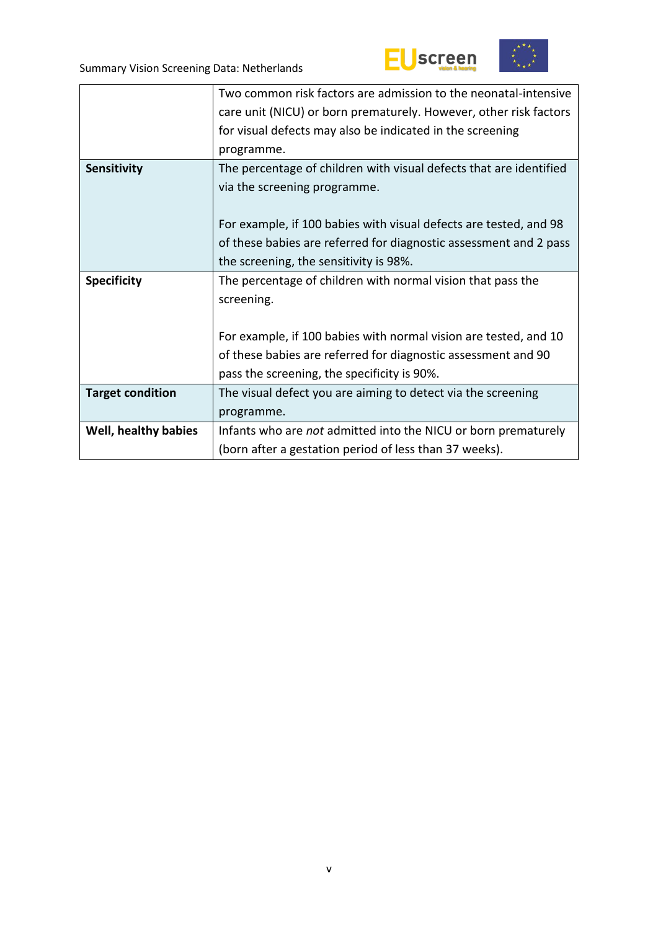



|                         | Two common risk factors are admission to the neonatal-intensive    |  |  |  |  |
|-------------------------|--------------------------------------------------------------------|--|--|--|--|
|                         | care unit (NICU) or born prematurely. However, other risk factors  |  |  |  |  |
|                         | for visual defects may also be indicated in the screening          |  |  |  |  |
|                         | programme.                                                         |  |  |  |  |
| Sensitivity             | The percentage of children with visual defects that are identified |  |  |  |  |
|                         | via the screening programme.                                       |  |  |  |  |
|                         |                                                                    |  |  |  |  |
|                         | For example, if 100 babies with visual defects are tested, and 98  |  |  |  |  |
|                         | of these babies are referred for diagnostic assessment and 2 pass  |  |  |  |  |
|                         | the screening, the sensitivity is 98%.                             |  |  |  |  |
| <b>Specificity</b>      | The percentage of children with normal vision that pass the        |  |  |  |  |
|                         | screening.                                                         |  |  |  |  |
|                         |                                                                    |  |  |  |  |
|                         | For example, if 100 babies with normal vision are tested, and 10   |  |  |  |  |
|                         | of these babies are referred for diagnostic assessment and 90      |  |  |  |  |
|                         | pass the screening, the specificity is 90%.                        |  |  |  |  |
| <b>Target condition</b> | The visual defect you are aiming to detect via the screening       |  |  |  |  |
|                         | programme.                                                         |  |  |  |  |
| Well, healthy babies    | Infants who are not admitted into the NICU or born prematurely     |  |  |  |  |
|                         | (born after a gestation period of less than 37 weeks).             |  |  |  |  |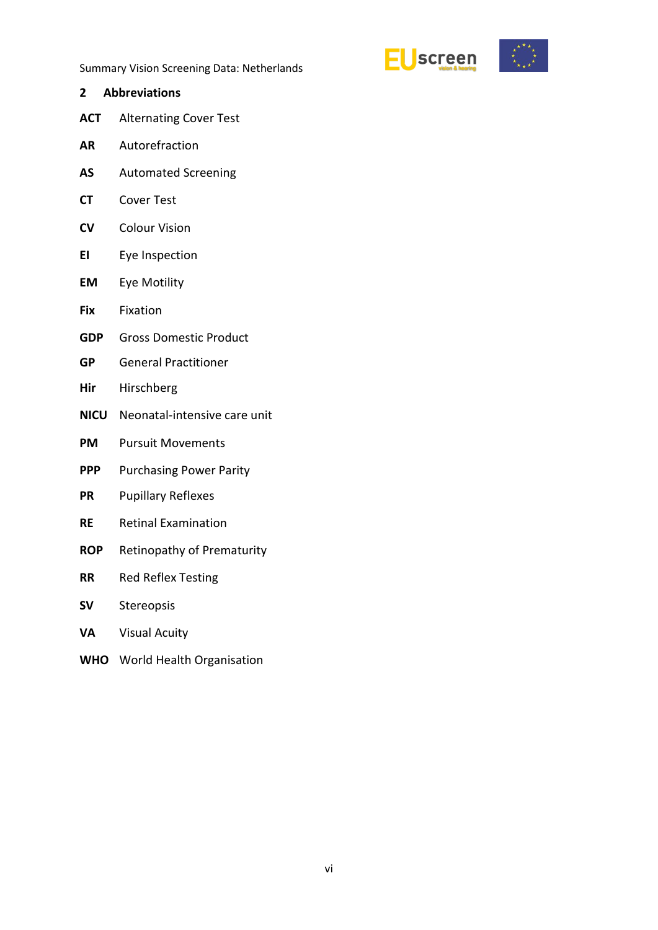

- <span id="page-5-0"></span>**2 Abbreviations ACT** Alternating Cover Test **AR** Autorefraction **AS** Automated Screening **CT** Cover Test **CV** Colour Vision **EI** Eye Inspection **EM** Eye Motility **Fix** Fixation **GDP** Gross Domestic Product **GP** General Practitioner **Hir** Hirschberg **NICU** Neonatal-intensive care unit **PM** Pursuit Movements **PPP** Purchasing Power Parity **PR** Pupillary Reflexes **RE** Retinal Examination **ROP** Retinopathy of Prematurity **RR** Red Reflex Testing **SV** Stereopsis **VA** Visual Acuity
- **WHO** World Health Organisation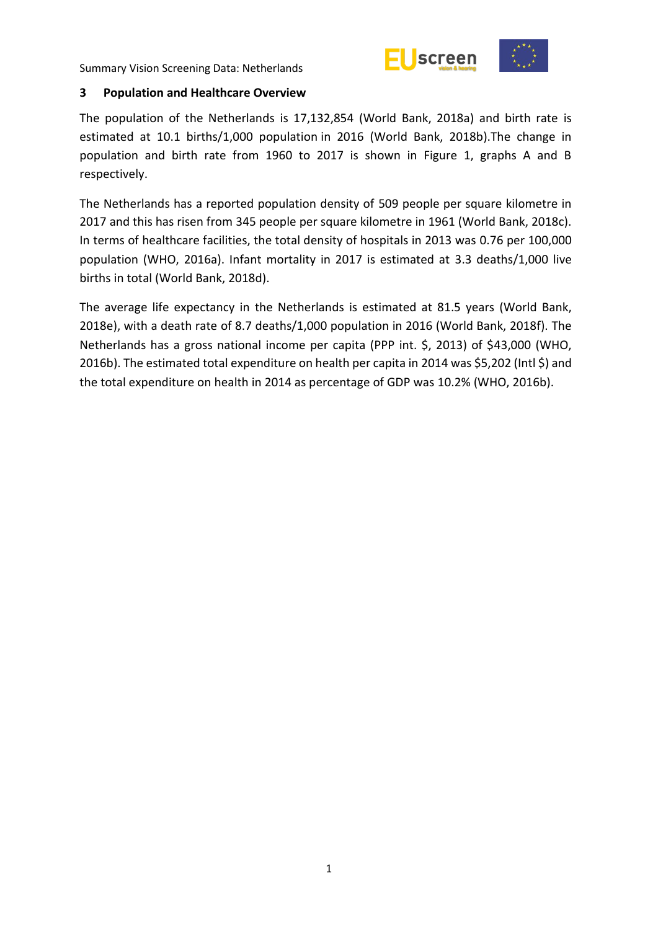

#### <span id="page-6-0"></span>**3 Population and Healthcare Overview**

The population of the Netherlands is 17,132,854 (World Bank, 2018a) and birth rate is estimated at 10.1 births/1,000 population in 2016 (World Bank, 2018b).The change in population and birth rate from 1960 to 2017 is shown in Figure 1, graphs A and B respectively.

The Netherlands has a reported population density of 509 people per square kilometre in 2017 and this has risen from 345 people per square kilometre in 1961 (World Bank, 2018c). In terms of healthcare facilities, the total density of hospitals in 2013 was 0.76 per 100,000 population (WHO, 2016a). Infant mortality in 2017 is estimated at 3.3 deaths/1,000 live births in total (World Bank, 2018d).

The average life expectancy in the Netherlands is estimated at 81.5 years (World Bank, 2018e), with a death rate of 8.7 deaths/1,000 population in 2016 (World Bank, 2018f). The Netherlands has a gross national income per capita (PPP int. \$, 2013) of \$43,000 (WHO, 2016b). The estimated total expenditure on health per capita in 2014 was \$5,202 (Intl \$) and the total expenditure on health in 2014 as percentage of GDP was 10.2% (WHO, 2016b).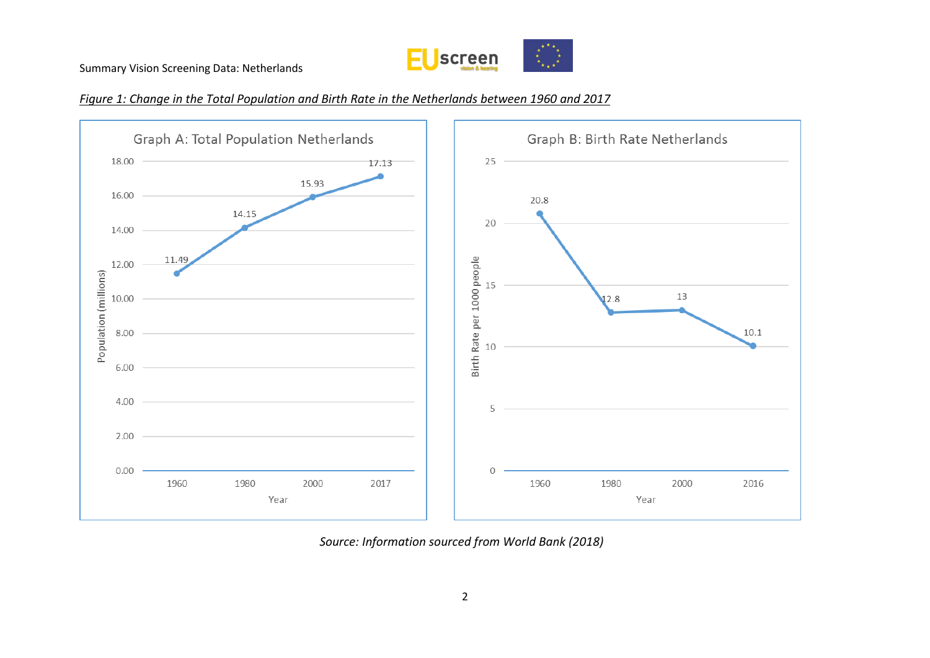





*Source: Information sourced from World Bank (2018)*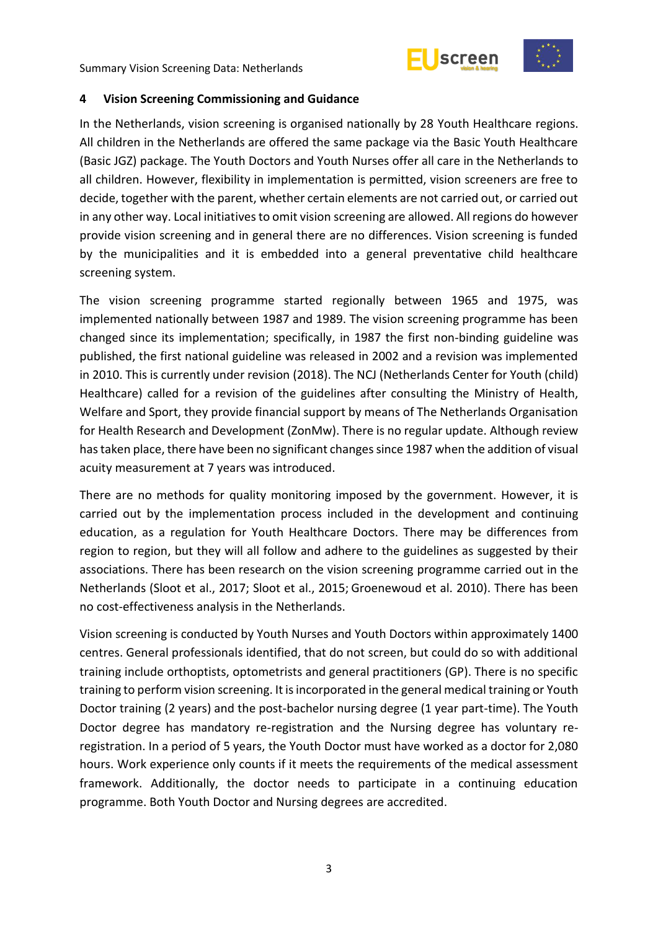



#### <span id="page-8-0"></span>**4 Vision Screening Commissioning and Guidance**

In the Netherlands, vision screening is organised nationally by 28 Youth Healthcare regions. All children in the Netherlands are offered the same package via the Basic Youth Healthcare (Basic JGZ) package. The Youth Doctors and Youth Nurses offer all care in the Netherlands to all children. However, flexibility in implementation is permitted, vision screeners are free to decide, together with the parent, whether certain elements are not carried out, or carried out in any other way. Local initiatives to omit vision screening are allowed. All regions do however provide vision screening and in general there are no differences. Vision screening is funded by the municipalities and it is embedded into a general preventative child healthcare screening system.

The vision screening programme started regionally between 1965 and 1975, was implemented nationally between 1987 and 1989. The vision screening programme has been changed since its implementation; specifically, in 1987 the first non-binding guideline was published, the first national guideline was released in 2002 and a revision was implemented in 2010. This is currently under revision (2018). The NCJ (Netherlands Center for Youth (child) Healthcare) called for a revision of the guidelines after consulting the Ministry of Health, Welfare and Sport, they provide financial support by means of The Netherlands Organisation for Health Research and Development (ZonMw). There is no regular update. Although review has taken place, there have been no significant changes since 1987 when the addition of visual acuity measurement at 7 years was introduced.

There are no methods for quality monitoring imposed by the government. However, it is carried out by the implementation process included in the development and continuing education, as a regulation for Youth Healthcare Doctors. There may be differences from region to region, but they will all follow and adhere to the guidelines as suggested by their associations. There has been research on the vision screening programme carried out in the Netherlands (Sloot et al., 2017; Sloot et al., 2015; Groenewoud et al. 2010). There has been no cost-effectiveness analysis in the Netherlands.

Vision screening is conducted by Youth Nurses and Youth Doctors within approximately 1400 centres. General professionals identified, that do not screen, but could do so with additional training include orthoptists, optometrists and general practitioners (GP). There is no specific training to perform vision screening. It is incorporated in the general medical training or Youth Doctor training (2 years) and the post-bachelor nursing degree (1 year part-time). The Youth Doctor degree has mandatory re-registration and the Nursing degree has voluntary reregistration. In a period of 5 years, the Youth Doctor must have worked as a doctor for 2,080 hours. Work experience only counts if it meets the requirements of the medical assessment framework. Additionally, the doctor needs to participate in a continuing education programme. Both Youth Doctor and Nursing degrees are accredited.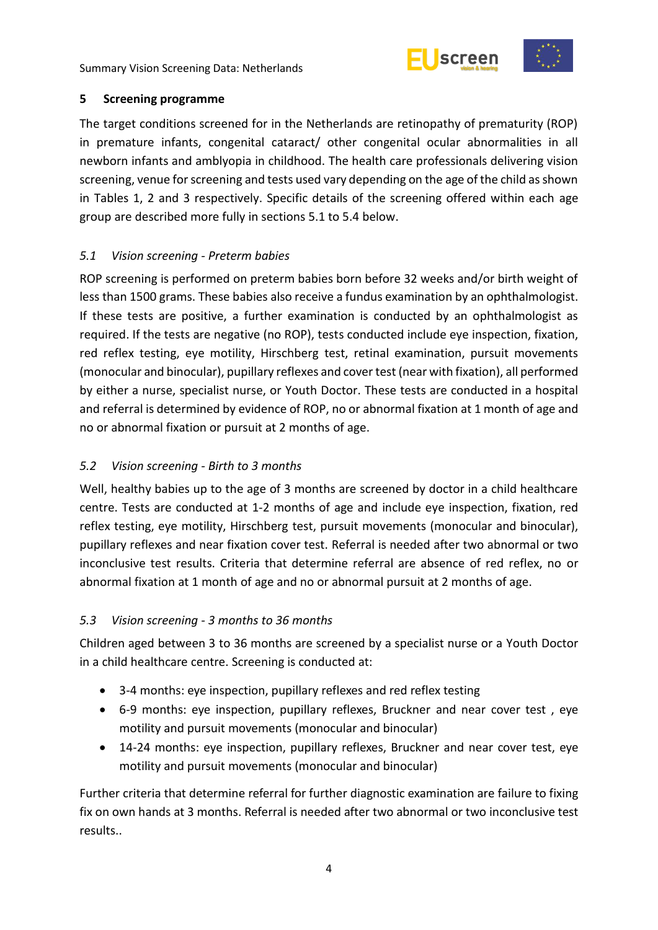



#### <span id="page-9-0"></span>**5 Screening programme**

The target conditions screened for in the Netherlands are retinopathy of prematurity (ROP) in premature infants, congenital cataract/ other congenital ocular abnormalities in all newborn infants and amblyopia in childhood. The health care professionals delivering vision screening, venue for screening and tests used vary depending on the age of the child as shown in Tables 1, 2 and 3 respectively. Specific details of the screening offered within each age group are described more fully in sections 5.1 to 5.4 below.

### <span id="page-9-1"></span>*5.1 Vision screening - Preterm babies*

ROP screening is performed on preterm babies born before 32 weeks and/or birth weight of less than 1500 grams. These babies also receive a fundus examination by an ophthalmologist. If these tests are positive, a further examination is conducted by an ophthalmologist as required. If the tests are negative (no ROP), tests conducted include eye inspection, fixation, red reflex testing, eye motility, Hirschberg test, retinal examination, pursuit movements (monocular and binocular), pupillary reflexes and cover test (near with fixation), all performed by either a nurse, specialist nurse, or Youth Doctor. These tests are conducted in a hospital and referral is determined by evidence of ROP, no or abnormal fixation at 1 month of age and no or abnormal fixation or pursuit at 2 months of age.

# <span id="page-9-2"></span>*5.2 Vision screening - Birth to 3 months*

Well, healthy babies up to the age of 3 months are screened by doctor in a child healthcare centre. Tests are conducted at 1-2 months of age and include eye inspection, fixation, red reflex testing, eye motility, Hirschberg test, pursuit movements (monocular and binocular), pupillary reflexes and near fixation cover test. Referral is needed after two abnormal or two inconclusive test results. Criteria that determine referral are absence of red reflex, no or abnormal fixation at 1 month of age and no or abnormal pursuit at 2 months of age.

#### <span id="page-9-3"></span>*5.3 Vision screening - 3 months to 36 months*

Children aged between 3 to 36 months are screened by a specialist nurse or a Youth Doctor in a child healthcare centre. Screening is conducted at:

- 3-4 months: eye inspection, pupillary reflexes and red reflex testing
- 6-9 months: eye inspection, pupillary reflexes, Bruckner and near cover test , eye motility and pursuit movements (monocular and binocular)
- 14-24 months: eye inspection, pupillary reflexes, Bruckner and near cover test, eye motility and pursuit movements (monocular and binocular)

Further criteria that determine referral for further diagnostic examination are failure to fixing fix on own hands at 3 months. Referral is needed after two abnormal or two inconclusive test results..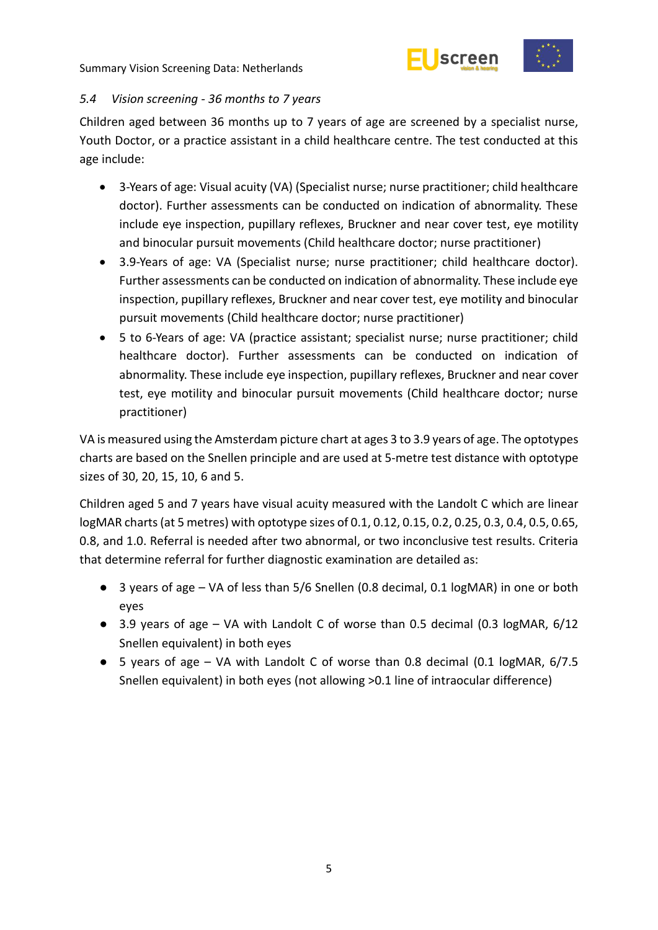



#### <span id="page-10-0"></span>*5.4 Vision screening - 36 months to 7 years*

Children aged between 36 months up to 7 years of age are screened by a specialist nurse, Youth Doctor, or a practice assistant in a child healthcare centre. The test conducted at this age include:

- 3-Years of age: Visual acuity (VA) (Specialist nurse; nurse practitioner; child healthcare doctor). Further assessments can be conducted on indication of abnormality. These include eye inspection, pupillary reflexes, Bruckner and near cover test, eye motility and binocular pursuit movements (Child healthcare doctor; nurse practitioner)
- 3.9-Years of age: VA (Specialist nurse; nurse practitioner; child healthcare doctor). Further assessments can be conducted on indication of abnormality. These include eye inspection, pupillary reflexes, Bruckner and near cover test, eye motility and binocular pursuit movements (Child healthcare doctor; nurse practitioner)
- 5 to 6-Years of age: VA (practice assistant; specialist nurse; nurse practitioner; child healthcare doctor). Further assessments can be conducted on indication of abnormality. These include eye inspection, pupillary reflexes, Bruckner and near cover test, eye motility and binocular pursuit movements (Child healthcare doctor; nurse practitioner)

VA is measured using the Amsterdam picture chart at ages 3 to 3.9 years of age. The optotypes charts are based on the Snellen principle and are used at 5-metre test distance with optotype sizes of 30, 20, 15, 10, 6 and 5.

Children aged 5 and 7 years have visual acuity measured with the Landolt C which are linear logMAR charts (at 5 metres) with optotype sizes of 0.1, 0.12, 0.15, 0.2, 0.25, 0.3, 0.4, 0.5, 0.65, 0.8, and 1.0. Referral is needed after two abnormal, or two inconclusive test results. Criteria that determine referral for further diagnostic examination are detailed as:

- 3 years of age VA of less than 5/6 Snellen (0.8 decimal, 0.1 logMAR) in one or both eyes
- 3.9 years of age VA with Landolt C of worse than 0.5 decimal (0.3 logMAR, 6/12 Snellen equivalent) in both eyes
- 5 years of age VA with Landolt C of worse than 0.8 decimal (0.1 logMAR, 6/7.5 Snellen equivalent) in both eyes (not allowing >0.1 line of intraocular difference)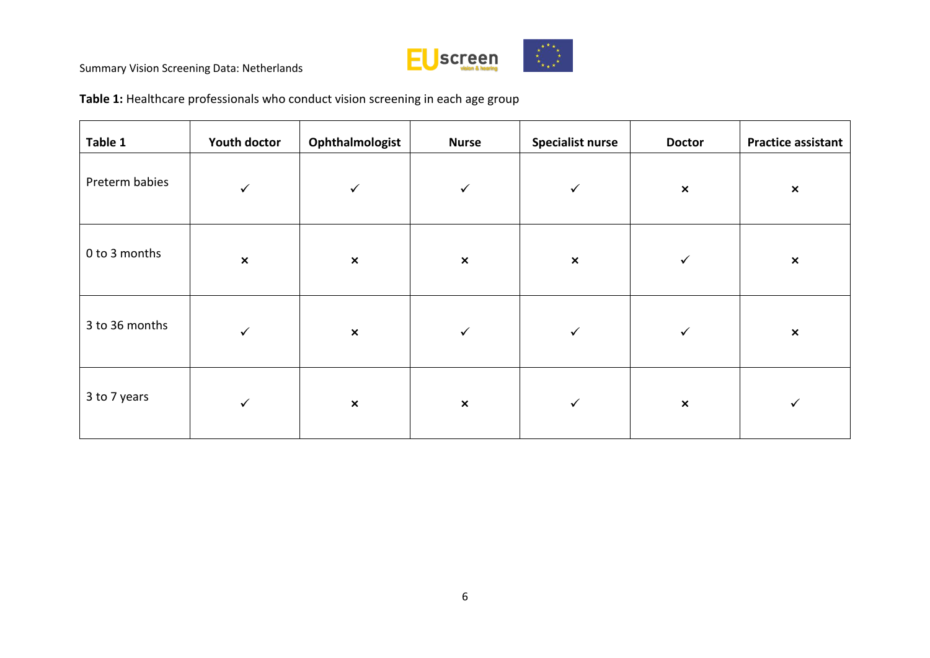

**Table 1:** Healthcare professionals who conduct vision screening in each age group

| Table 1        | <b>Youth doctor</b> | Ophthalmologist | <b>Nurse</b>   | <b>Specialist nurse</b> | <b>Doctor</b>  | <b>Practice assistant</b> |
|----------------|---------------------|-----------------|----------------|-------------------------|----------------|---------------------------|
| Preterm babies | $\checkmark$        | $\checkmark$    | $\checkmark$   | $\checkmark$            | $\pmb{\times}$ | $\pmb{\times}$            |
| 0 to 3 months  | $\pmb{\times}$      | $\pmb{\times}$  | $\pmb{\times}$ | $\pmb{\times}$          | $\checkmark$   | $\pmb{\times}$            |
| 3 to 36 months | $\checkmark$        | $\pmb{\times}$  | $\checkmark$   | $\checkmark$            | $\checkmark$   | $\pmb{\times}$            |
| 3 to 7 years   | $\checkmark$        | $\pmb{\times}$  | $\pmb{\times}$ | $\checkmark$            | $\pmb{\times}$ | ✓                         |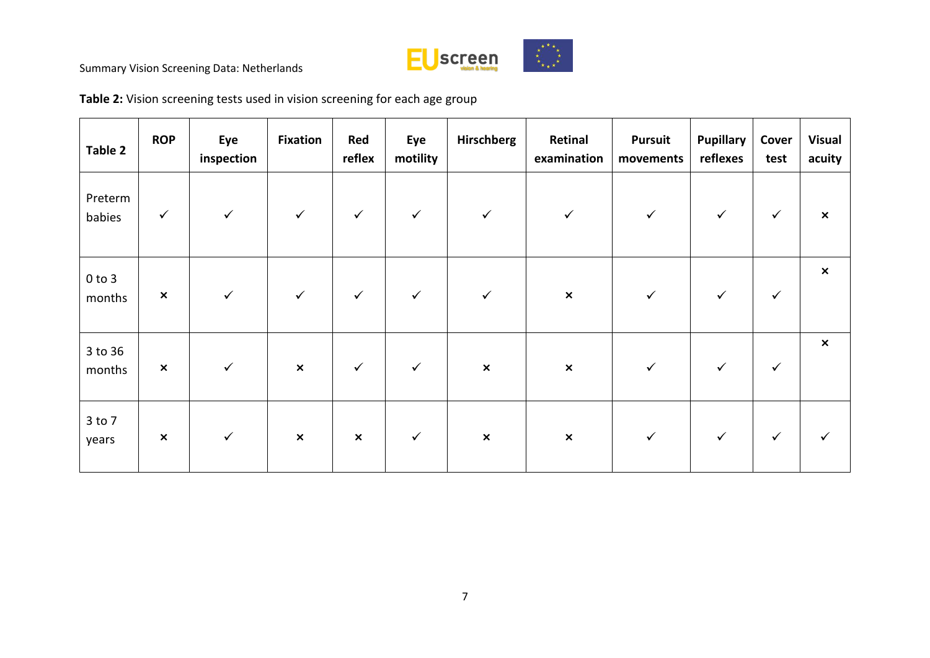

**Table 2:** Vision screening tests used in vision screening for each age group

| Table 2              | <b>ROP</b>     | Eye<br>inspection | <b>Fixation</b>           | Red<br>reflex  | Eye<br>motility | Hirschberg     | Retinal<br>examination | <b>Pursuit</b><br>movements | <b>Pupillary</b><br>reflexes | Cover<br>test | <b>Visual</b><br>acuity   |
|----------------------|----------------|-------------------|---------------------------|----------------|-----------------|----------------|------------------------|-----------------------------|------------------------------|---------------|---------------------------|
| Preterm<br>babies    | $\checkmark$   | $\checkmark$      | $\checkmark$              | $\checkmark$   | $\checkmark$    | $\checkmark$   | $\checkmark$           | $\checkmark$                | ✓                            | $\checkmark$  | $\boldsymbol{\mathsf{x}}$ |
| $0$ to $3$<br>months | $\pmb{\times}$ | $\checkmark$      | $\checkmark$              | $\checkmark$   | $\checkmark$    | $\checkmark$   | $\pmb{\times}$         | $\checkmark$                | ✓                            | $\checkmark$  | $\boldsymbol{\mathsf{x}}$ |
| 3 to 36<br>months    | $\pmb{\times}$ | $\checkmark$      | $\boldsymbol{\mathsf{x}}$ | $\checkmark$   | $\checkmark$    | $\pmb{\times}$ | $\pmb{\times}$         | $\checkmark$                | $\checkmark$                 | $\checkmark$  | $\pmb{\times}$            |
| 3 to 7<br>years      | $\pmb{\times}$ | $\checkmark$      | $\pmb{\times}$            | $\pmb{\times}$ | $\checkmark$    | $\pmb{\times}$ | $\pmb{\times}$         | $\checkmark$                | ✓                            | $\checkmark$  |                           |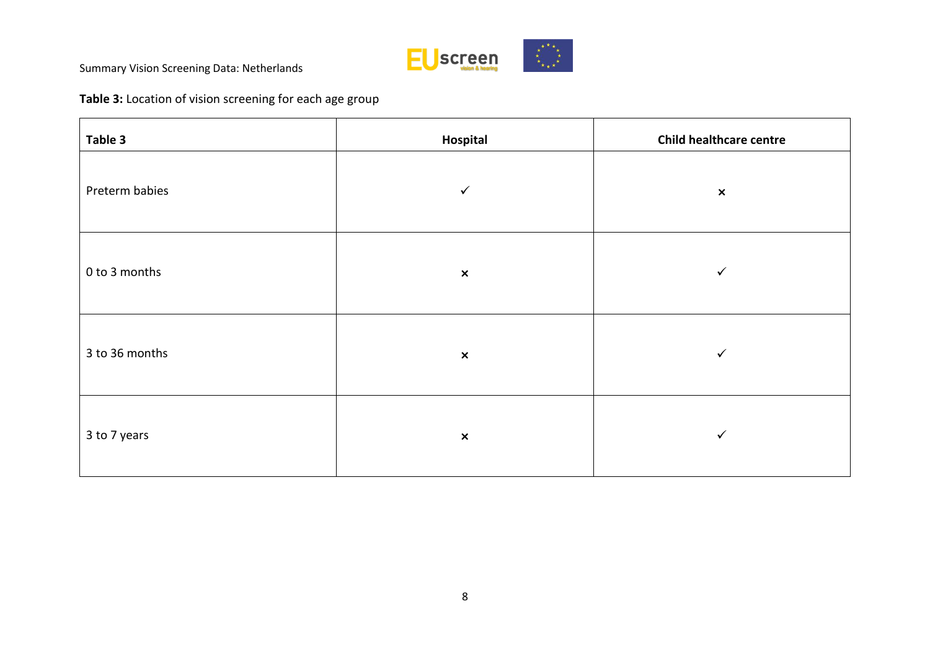

# **Table 3:** Location of vision screening for each age group

| Table 3        | Hospital                  | <b>Child healthcare centre</b> |
|----------------|---------------------------|--------------------------------|
| Preterm babies | $\checkmark$              | $\pmb{\times}$                 |
| 0 to 3 months  | $\pmb{\times}$            | $\checkmark$                   |
| 3 to 36 months | $\pmb{\times}$            | $\checkmark$                   |
| 3 to 7 years   | $\boldsymbol{\mathsf{x}}$ | ✓                              |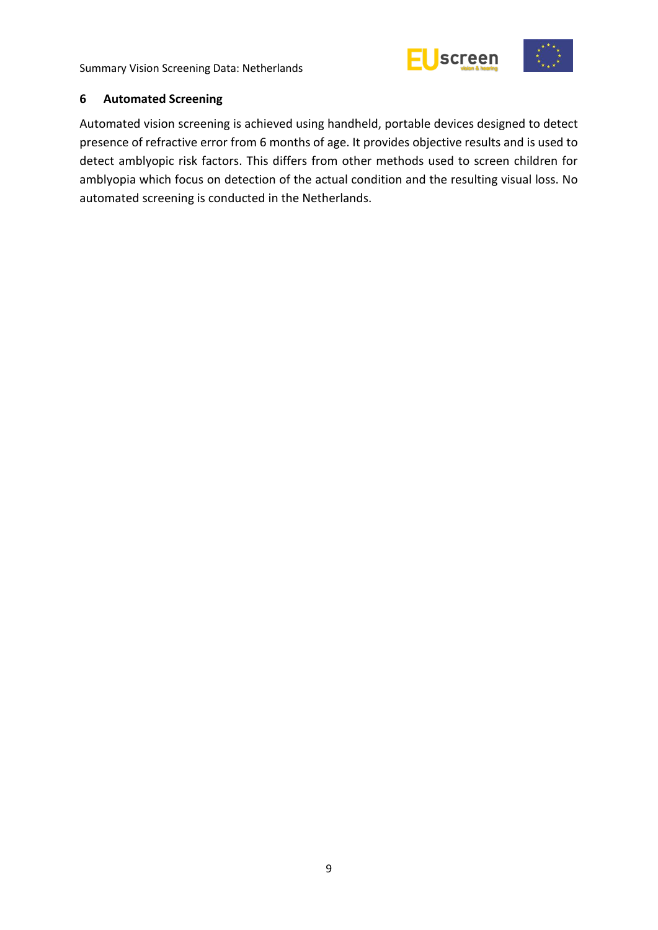



#### <span id="page-14-0"></span>**6 Automated Screening**

Automated vision screening is achieved using handheld, portable devices designed to detect presence of refractive error from 6 months of age. It provides objective results and is used to detect amblyopic risk factors. This differs from other methods used to screen children for amblyopia which focus on detection of the actual condition and the resulting visual loss. No automated screening is conducted in the Netherlands.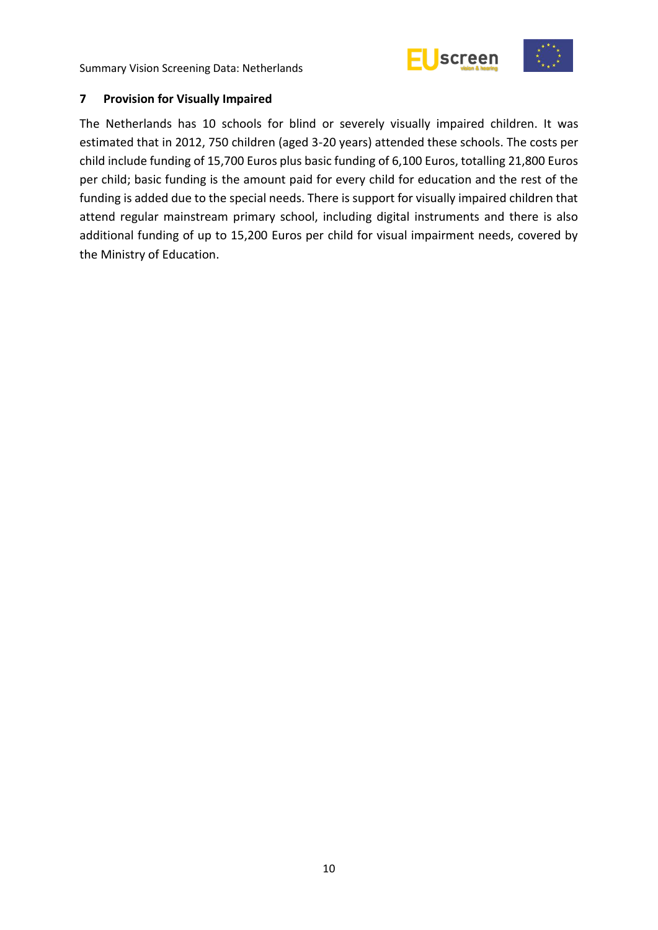



#### <span id="page-15-0"></span>**7 Provision for Visually Impaired**

The Netherlands has 10 schools for blind or severely visually impaired children. It was estimated that in 2012, 750 children (aged 3-20 years) attended these schools. The costs per child include funding of 15,700 Euros plus basic funding of 6,100 Euros, totalling 21,800 Euros per child; basic funding is the amount paid for every child for education and the rest of the funding is added due to the special needs. There is support for visually impaired children that attend regular mainstream primary school, including digital instruments and there is also additional funding of up to 15,200 Euros per child for visual impairment needs, covered by the Ministry of Education.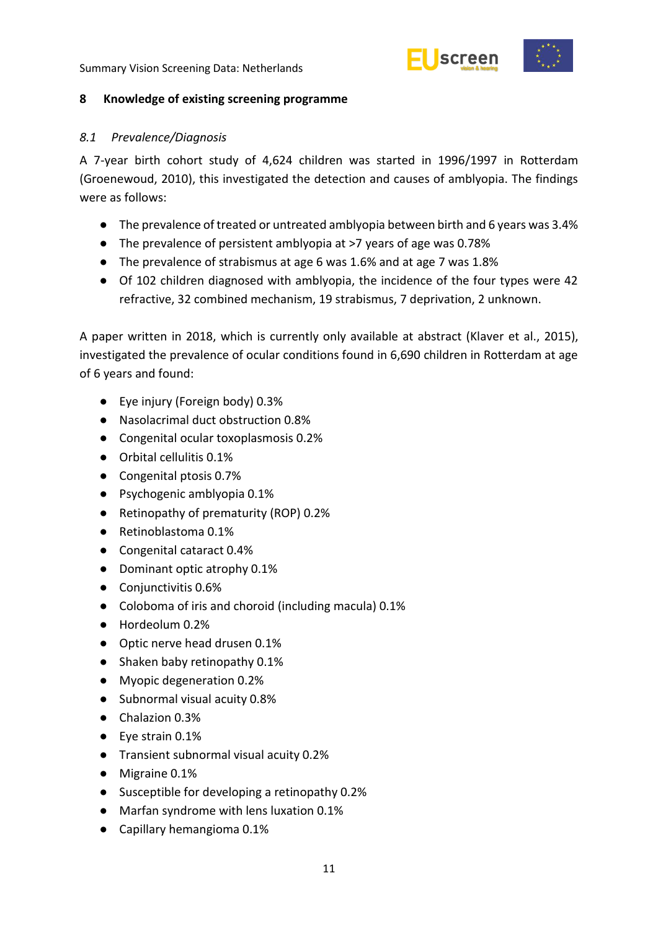



#### <span id="page-16-0"></span>**8 Knowledge of existing screening programme**

#### <span id="page-16-1"></span>*8.1 Prevalence/Diagnosis*

A 7-year birth cohort study of 4,624 children was started in 1996/1997 in Rotterdam (Groenewoud, 2010), this investigated the detection and causes of amblyopia. The findings were as follows:

- The prevalence of treated or untreated amblyopia between birth and 6 years was 3.4%
- The prevalence of persistent amblyopia at >7 years of age was 0.78%
- The prevalence of strabismus at age 6 was 1.6% and at age 7 was 1.8%
- Of 102 children diagnosed with amblyopia, the incidence of the four types were 42 refractive, 32 combined mechanism, 19 strabismus, 7 deprivation, 2 unknown.

A paper written in 2018, which is currently only available at abstract (Klaver et al., 2015), investigated the prevalence of ocular conditions found in 6,690 children in Rotterdam at age of 6 years and found:

- Eye injury (Foreign body) 0.3%
- Nasolacrimal duct obstruction 0.8%
- Congenital ocular toxoplasmosis 0.2%
- Orbital cellulitis 0.1%
- Congenital ptosis 0.7%
- Psychogenic amblyopia 0.1%
- Retinopathy of prematurity (ROP) 0.2%
- Retinoblastoma 0.1%
- Congenital cataract 0.4%
- Dominant optic atrophy 0.1%
- Conjunctivitis 0.6%
- Coloboma of iris and choroid (including macula) 0.1%
- Hordeolum 0.2%
- Optic nerve head drusen 0.1%
- Shaken baby retinopathy 0.1%
- Myopic degeneration 0.2%
- Subnormal visual acuity 0.8%
- Chalazion 0.3%
- Eye strain 0.1%
- Transient subnormal visual acuity 0.2%
- Migraine 0.1%
- Susceptible for developing a retinopathy 0.2%
- Marfan syndrome with lens luxation 0.1%
- Capillary hemangioma 0.1%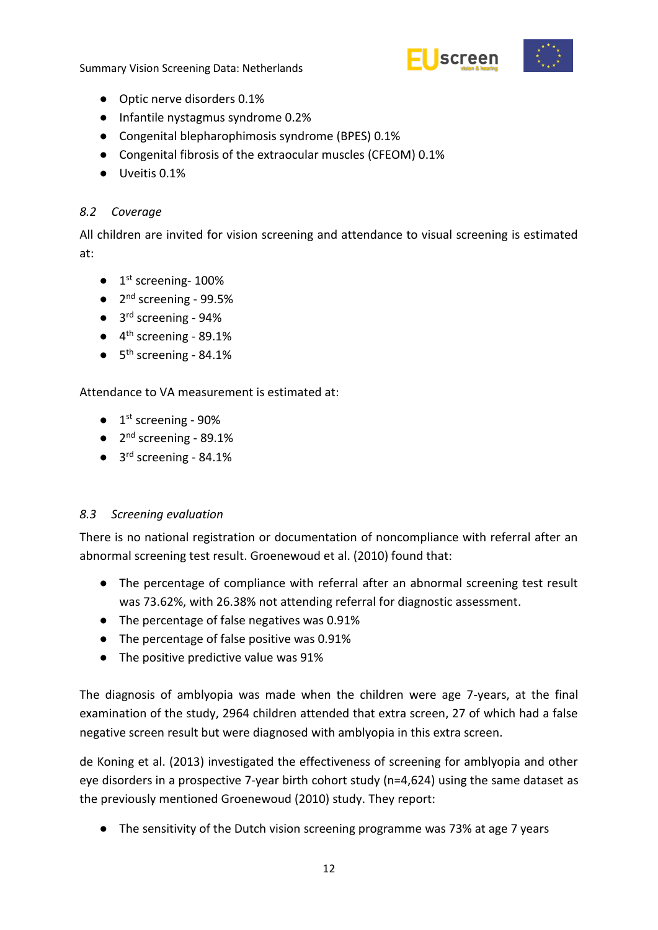

- Optic nerve disorders 0.1%
- Infantile nystagmus syndrome 0.2%
- Congenital blepharophimosis syndrome (BPES) 0.1%
- Congenital fibrosis of the extraocular muscles (CFEOM) 0.1%
- Uveitis 0.1%

# <span id="page-17-0"></span>*8.2 Coverage*

All children are invited for vision screening and attendance to visual screening is estimated at:

- 1<sup>st</sup> screening-100%
- $\bullet$  2<sup>nd</sup> screening 99.5%
- 3<sup>rd</sup> screening 94%
- $\bullet$  4<sup>th</sup> screening 89.1%
- $\bullet$  5<sup>th</sup> screening 84.1%

Attendance to VA measurement is estimated at:

- $\bullet$  1<sup>st</sup> screening 90%
- $\bullet$  2<sup>nd</sup> screening 89.1%
- $\bullet$  3<sup>rd</sup> screening 84.1%

# <span id="page-17-1"></span>*8.3 Screening evaluation*

There is no national registration or documentation of noncompliance with referral after an abnormal screening test result. Groenewoud et al. (2010) found that:

- The percentage of compliance with referral after an abnormal screening test result was 73.62%, with 26.38% not attending referral for diagnostic assessment.
- The percentage of false negatives was 0.91%
- The percentage of false positive was 0.91%
- The positive predictive value was 91%

The diagnosis of amblyopia was made when the children were age 7-years, at the final examination of the study, 2964 children attended that extra screen, 27 of which had a false negative screen result but were diagnosed with amblyopia in this extra screen.

de Koning et al. (2013) investigated the effectiveness of screening for amblyopia and other eye disorders in a prospective 7-year birth cohort study (n=4,624) using the same dataset as the previously mentioned Groenewoud (2010) study. They report:

● The sensitivity of the Dutch vision screening programme was 73% at age 7 years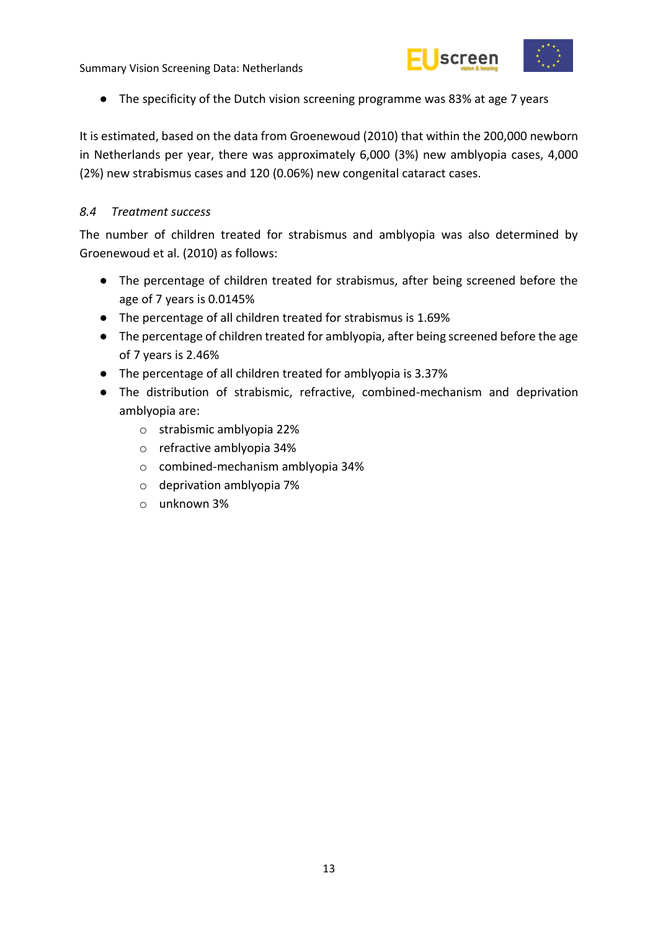

● The specificity of the Dutch vision screening programme was 83% at age 7 years

It is estimated, based on the data from Groenewoud (2010) that within the 200,000 newborn in Netherlands per year, there was approximately 6,000 (3%) new amblyopia cases, 4,000 (2%) new strabismus cases and 120 (0.06%) new congenital cataract cases.

#### <span id="page-18-0"></span>*8.4 Treatment success*

The number of children treated for strabismus and amblyopia was also determined by Groenewoud et al. (2010) as follows:

- The percentage of children treated for strabismus, after being screened before the age of 7 years is 0.0145%
- The percentage of all children treated for strabismus is 1.69%
- The percentage of children treated for amblyopia, after being screened before the age of 7 years is 2.46%
- The percentage of all children treated for amblyopia is 3.37%
- The distribution of strabismic, refractive, combined-mechanism and deprivation amblyopia are:
	- o strabismic amblyopia 22%
	- o refractive amblyopia 34%
	- o combined-mechanism amblyopia 34%
	- o deprivation amblyopia 7%
	- o unknown 3%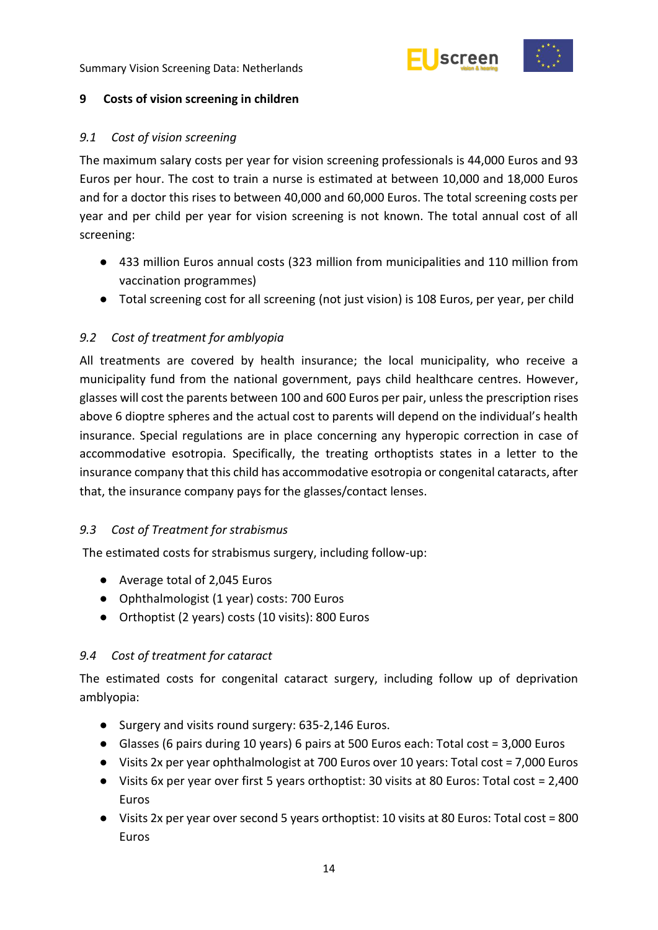



#### <span id="page-19-0"></span>**9 Costs of vision screening in children**

#### <span id="page-19-1"></span>*9.1 Cost of vision screening*

The maximum salary costs per year for vision screening professionals is 44,000 Euros and 93 Euros per hour. The cost to train a nurse is estimated at between 10,000 and 18,000 Euros and for a doctor this rises to between 40,000 and 60,000 Euros. The total screening costs per year and per child per year for vision screening is not known. The total annual cost of all screening:

- 433 million Euros annual costs (323 million from municipalities and 110 million from vaccination programmes)
- Total screening cost for all screening (not just vision) is 108 Euros, per year, per child

### <span id="page-19-2"></span>*9.2 Cost of treatment for amblyopia*

All treatments are covered by health insurance; the local municipality, who receive a municipality fund from the national government, pays child healthcare centres. However, glasses will cost the parents between 100 and 600 Euros per pair, unless the prescription rises above 6 dioptre spheres and the actual cost to parents will depend on the individual's health insurance. Special regulations are in place concerning any hyperopic correction in case of accommodative esotropia. Specifically, the treating orthoptists states in a letter to the insurance company that this child has accommodative esotropia or congenital cataracts, after that, the insurance company pays for the glasses/contact lenses.

#### <span id="page-19-3"></span>*9.3 Cost of Treatment for strabismus*

The estimated costs for strabismus surgery, including follow-up:

- Average total of 2,045 Euros
- Ophthalmologist (1 year) costs: 700 Euros
- Orthoptist (2 years) costs (10 visits): 800 Euros

#### <span id="page-19-4"></span>*9.4 Cost of treatment for cataract*

The estimated costs for congenital cataract surgery, including follow up of deprivation amblyopia:

- Surgery and visits round surgery: 635-2,146 Euros.
- Glasses (6 pairs during 10 years) 6 pairs at 500 Euros each: Total cost = 3,000 Euros
- Visits 2x per year ophthalmologist at 700 Euros over 10 years: Total cost = 7,000 Euros
- Visits 6x per year over first 5 years orthoptist: 30 visits at 80 Euros: Total cost = 2,400 Euros
- Visits 2x per year over second 5 years orthoptist: 10 visits at 80 Euros: Total cost = 800 Euros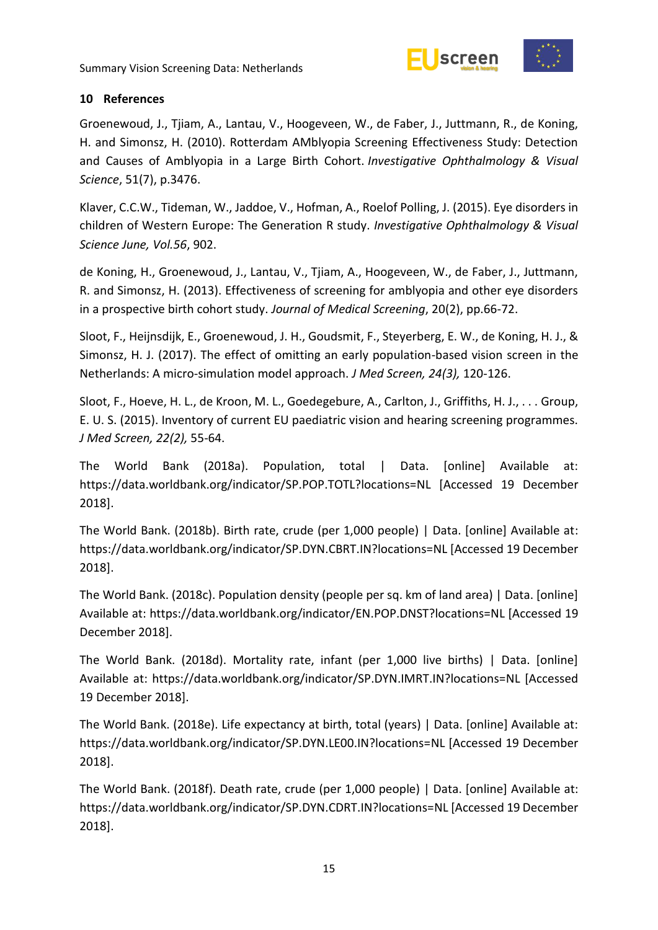



#### <span id="page-20-0"></span>**10 References**

Groenewoud, J., Tjiam, A., Lantau, V., Hoogeveen, W., de Faber, J., Juttmann, R., de Koning, H. and Simonsz, H. (2010). Rotterdam AMblyopia Screening Effectiveness Study: Detection and Causes of Amblyopia in a Large Birth Cohort. *Investigative Ophthalmology & Visual Science*, 51(7), p.3476.

Klaver, C.C.W., Tideman, W., Jaddoe, V., Hofman, A., Roelof Polling, J. (2015). Eye disorders in children of Western Europe: The Generation R study. *Investigative Ophthalmology & Visual Science June, Vol.56*, 902.

de Koning, H., Groenewoud, J., Lantau, V., Tjiam, A., Hoogeveen, W., de Faber, J., Juttmann, R. and Simonsz, H. (2013). Effectiveness of screening for amblyopia and other eye disorders in a prospective birth cohort study. *Journal of Medical Screening*, 20(2), pp.66-72.

Sloot, F., Heijnsdijk, E., Groenewoud, J. H., Goudsmit, F., Steyerberg, E. W., de Koning, H. J., & Simonsz, H. J. (2017). The effect of omitting an early population-based vision screen in the Netherlands: A micro-simulation model approach. *J Med Screen, 24(3),* 120-126.

Sloot, F., Hoeve, H. L., de Kroon, M. L., Goedegebure, A., Carlton, J., Griffiths, H. J., . . . Group, E. U. S. (2015). Inventory of current EU paediatric vision and hearing screening programmes. *J Med Screen, 22(2),* 55-64.

The World Bank (2018a). Population, total | Data. [online] Available at: https://data.worldbank.org/indicator/SP.POP.TOTL?locations=NL [Accessed 19 December 2018].

The World Bank. (2018b). Birth rate, crude (per 1,000 people) | Data. [online] Available at: https://data.worldbank.org/indicator/SP.DYN.CBRT.IN?locations=NL [Accessed 19 December 2018].

The World Bank. (2018c). Population density (people per sq. km of land area) | Data. [online] Available at: https://data.worldbank.org/indicator/EN.POP.DNST?locations=NL [Accessed 19 December 2018].

The World Bank. (2018d). Mortality rate, infant (per 1,000 live births) | Data. [online] Available at: https://data.worldbank.org/indicator/SP.DYN.IMRT.IN?locations=NL [Accessed 19 December 2018].

The World Bank. (2018e). Life expectancy at birth, total (years) | Data. [online] Available at: https://data.worldbank.org/indicator/SP.DYN.LE00.IN?locations=NL [Accessed 19 December 2018].

The World Bank. (2018f). Death rate, crude (per 1,000 people) | Data. [online] Available at: https://data.worldbank.org/indicator/SP.DYN.CDRT.IN?locations=NL [Accessed 19 December 2018].